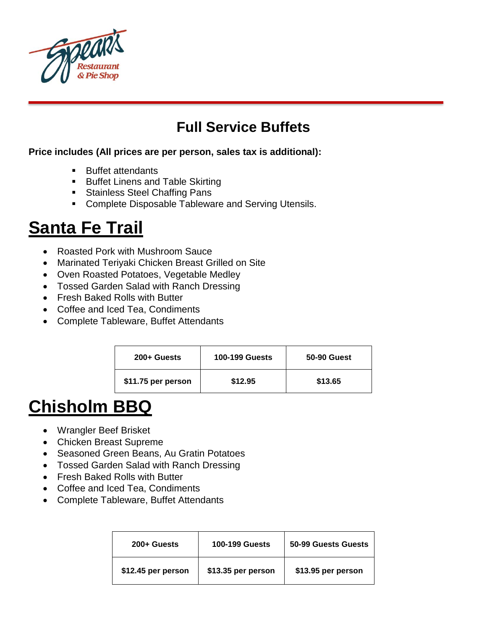

#### **Full Service Buffets**

#### **Price includes (All prices are per person, sales tax is additional):**

- Buffet attendants
- **Buffet Linens and Table Skirting**
- **Stainless Steel Chaffing Pans**
- **Complete Disposable Tableware and Serving Utensils.**

#### **Santa Fe Trail**

- Roasted Pork with Mushroom Sauce
- Marinated Teriyaki Chicken Breast Grilled on Site
- Oven Roasted Potatoes, Vegetable Medley
- Tossed Garden Salad with Ranch Dressing
- Fresh Baked Rolls with Butter
- Coffee and Iced Tea, Condiments
- Complete Tableware, Buffet Attendants

| 200+ Guests        | <b>100-199 Guests</b> | 50-90 Guest |
|--------------------|-----------------------|-------------|
| \$11.75 per person | \$12.95               | \$13.65     |

### **Chisholm BBQ**

- Wrangler Beef Brisket
- Chicken Breast Supreme
- Seasoned Green Beans, Au Gratin Potatoes
- Tossed Garden Salad with Ranch Dressing
- Fresh Baked Rolls with Butter
- Coffee and Iced Tea, Condiments
- Complete Tableware, Buffet Attendants

| 200+ Guests        | <b>100-199 Guests</b> | 50-99 Guests Guests |
|--------------------|-----------------------|---------------------|
| \$12.45 per person | \$13.35 per person    | \$13.95 per person  |